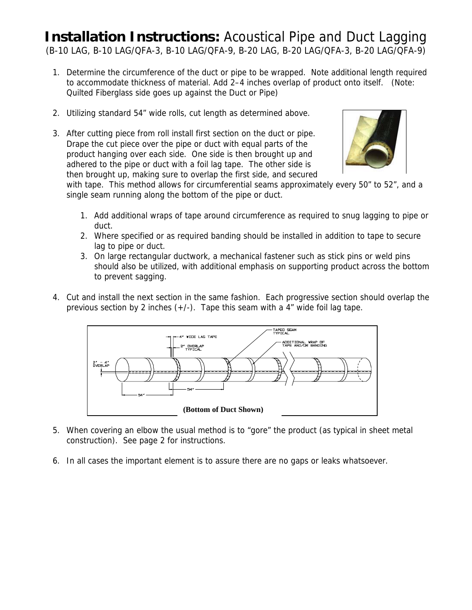## **Installation Instructions:** Acoustical Pipe and Duct Lagging (B-10 LAG, B-10 LAG/QFA-3, B-10 LAG/QFA-9, B-20 LAG, B-20 LAG/QFA-3, B-20 LAG/QFA-9)

- 1. Determine the circumference of the duct or pipe to be wrapped. Note additional length required to accommodate thickness of material. Add 2–4 inches overlap of product onto itself. (Note: Quilted Fiberglass side goes up against the Duct or Pipe)
- 2. Utilizing standard 54" wide rolls, cut length as determined above.
- 3. After cutting piece from roll install first section on the duct or pipe. Drape the cut piece over the pipe or duct with equal parts of the product hanging over each side. One side is then brought up and adhered to the pipe or duct with a foil lag tape. The other side is then brought up, making sure to overlap the first side, and secured



with tape. This method allows for circumferential seams approximately every 50" to 52", and a single seam running along the bottom of the pipe or duct.

- 1. Add additional wraps of tape around circumference as required to snug lagging to pipe or duct.
- 2. Where specified or as required banding should be installed in addition to tape to secure lag to pipe or duct.
- 3. On large rectangular ductwork, a mechanical fastener such as stick pins or weld pins should also be utilized, with additional emphasis on supporting product across the bottom to prevent sagging.
- 4. Cut and install the next section in the same fashion. Each progressive section should overlap the previous section by 2 inches  $(+/-)$ . Tape this seam with a 4" wide foil lag tape.



- 5. When covering an elbow the usual method is to "gore" the product (as typical in sheet metal construction). See page 2 for instructions.
- 6. In all cases the important element is to assure there are no gaps or leaks whatsoever.